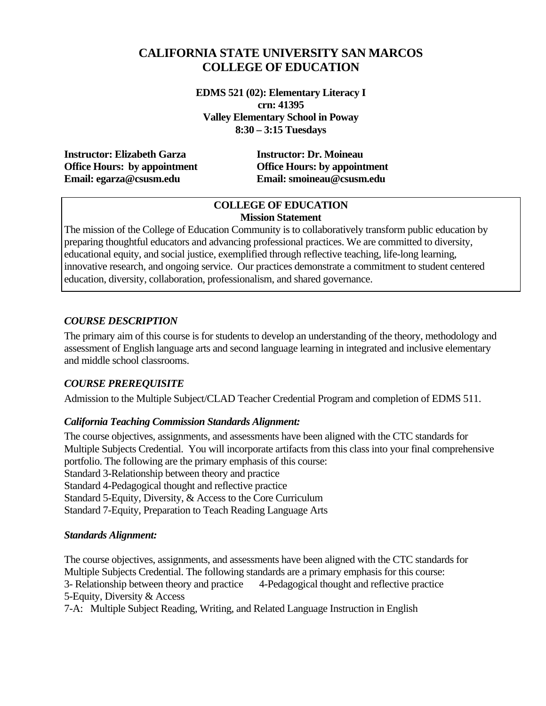# **CALIFORNIA STATE UNIVERSITY SAN MARCOS COLLEGE OF EDUCATION**

**EDMS 521 (02): Elementary Literacy I crn: 41395 Valley Elementary School in Poway 8:30 – 3:15 Tuesdays** 

**Instructor: Elizabeth Garza Instructor: Dr. Moineau Office Hours: by appointment Office Hours: by appointment Email: egarza@csusm.edu Email: smoineau@csusm.edu** 

#### **COLLEGE OF EDUCATION Mission Statement**

The mission of the College of Education Community is to collaboratively transform public education by preparing thoughtful educators and advancing professional practices. We are committed to diversity, educational equity, and social justice, exemplified through reflective teaching, life-long learning, innovative research, and ongoing service. Our practices demonstrate a commitment to student centered education, diversity, collaboration, professionalism, and shared governance.

## *COURSE DESCRIPTION*

The primary aim of this course is for students to develop an understanding of the theory, methodology and assessment of English language arts and second language learning in integrated and inclusive elementary and middle school classrooms.

## *COURSE PREREQUISITE*

Admission to the Multiple Subject/CLAD Teacher Credential Program and completion of EDMS 511.

## *California Teaching Commission Standards Alignment:*

The course objectives, assignments, and assessments have been aligned with the CTC standards for Multiple Subjects Credential. You will incorporate artifacts from this class into your final comprehensive portfolio. The following are the primary emphasis of this course: Standard 3-Relationship between theory and practice Standard 4-Pedagogical thought and reflective practice Standard 5-Equity, Diversity, & Access to the Core Curriculum Standard 7-Equity, Preparation to Teach Reading Language Arts

## *Standards Alignment:*

5-Equity, Diversity & Access The course objectives, assignments, and assessments have been aligned with the CTC standards for Multiple Subjects Credential. The following standards are a primary emphasis for this course: 3- Relationship between theory and practice 4-Pedagogical thought and reflective practice

7-A: Multiple Subject Reading, Writing, and Related Language Instruction in English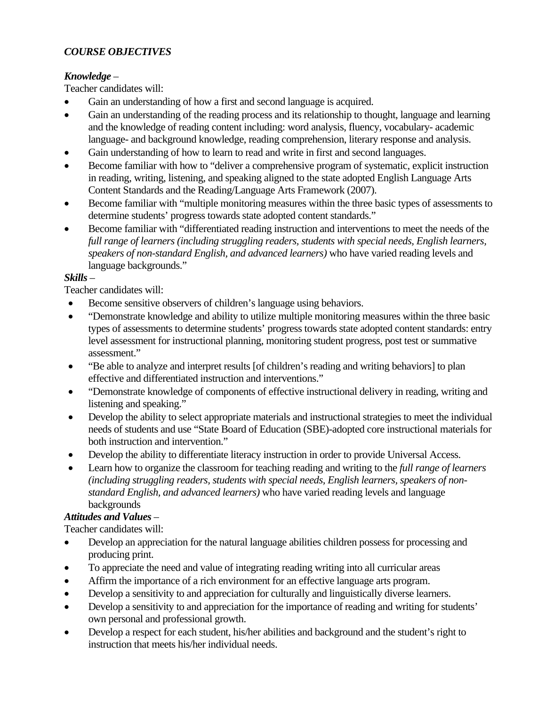## *COURSE OBJECTIVES*

## *Knowledge* –

Teacher candidates will:

- Gain an understanding of how a first and second language is acquired.
- Gain an understanding of the reading process and its relationship to thought, language and learning and the knowledge of reading content including: word analysis, fluency, vocabulary- academic language- and background knowledge, reading comprehension, literary response and analysis.
- Gain understanding of how to learn to read and write in first and second languages.
- Become familiar with how to "deliver a comprehensive program of systematic, explicit instruction in reading, writing, listening, and speaking aligned to the state adopted English Language Arts Content Standards and the Reading/Language Arts Framework (2007).
- Become familiar with "multiple monitoring measures within the three basic types of assessments to determine students' progress towards state adopted content standards."
- Become familiar with "differentiated reading instruction and interventions to meet the needs of the *full range of learners (including struggling readers, students with special needs, English learners, speakers of non-standard English, and advanced learners)* who have varied reading levels and language backgrounds."

## *Skills* –

Teacher candidates will:

- Become sensitive observers of children's language using behaviors.
- "Demonstrate knowledge and ability to utilize multiple monitoring measures within the three basic types of assessments to determine students' progress towards state adopted content standards: entry level assessment for instructional planning, monitoring student progress, post test or summative assessment."
- "Be able to analyze and interpret results [of children's reading and writing behaviors] to plan effective and differentiated instruction and interventions."
- "Demonstrate knowledge of components of effective instructional delivery in reading, writing and listening and speaking."
- Develop the ability to select appropriate materials and instructional strategies to meet the individual needs of students and use "State Board of Education (SBE)-adopted core instructional materials for both instruction and intervention."
- Develop the ability to differentiate literacy instruction in order to provide Universal Access.
- • Learn how to organize the classroom for teaching reading and writing to the *full range of learners (including struggling readers, students with special needs, English learners, speakers of nonstandard English, and advanced learners)* who have varied reading levels and language backgrounds

## *Attitudes and Values* –

Teacher candidates will:

- Develop an appreciation for the natural language abilities children possess for processing and producing print.
- To appreciate the need and value of integrating reading writing into all curricular areas
- Affirm the importance of a rich environment for an effective language arts program.
- Develop a sensitivity to and appreciation for culturally and linguistically diverse learners.
- Develop a sensitivity to and appreciation for the importance of reading and writing for students' own personal and professional growth.
- Develop a respect for each student, his/her abilities and background and the student's right to instruction that meets his/her individual needs.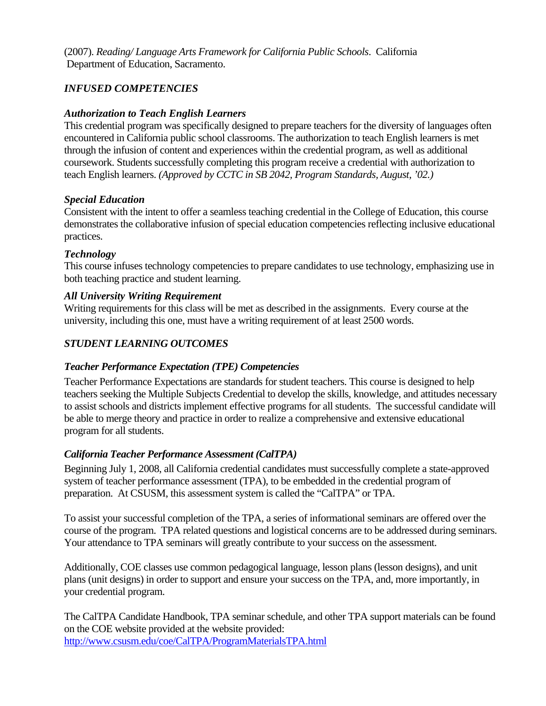(2007). *Reading/ Language Arts Framework for California Public Schools*. California Department of Education, Sacramento.

## *INFUSED COMPETENCIES*

## *Authorization to Teach English Learners*

This credential program was specifically designed to prepare teachers for the diversity of languages often encountered in California public school classrooms. The authorization to teach English learners is met through the infusion of content and experiences within the credential program, as well as additional coursework. Students successfully completing this program receive a credential with authorization to teach English learners. *(Approved by CCTC in SB 2042, Program Standards, August, '02.)* 

#### *Special Education*

Consistent with the intent to offer a seamless teaching credential in the College of Education, this course demonstrates the collaborative infusion of special education competencies reflecting inclusive educational practices.

#### *Technology*

This course infuses technology competencies to prepare candidates to use technology, emphasizing use in both teaching practice and student learning.

#### *All University Writing Requirement*

Writing requirements for this class will be met as described in the assignments. Every course at the university, including this one, must have a writing requirement of at least 2500 words.

## *STUDENT LEARNING OUTCOMES*

## *Teacher Performance Expectation (TPE) Competencies*

Teacher Performance Expectations are standards for student teachers. This course is designed to help teachers seeking the Multiple Subjects Credential to develop the skills, knowledge, and attitudes necessary to assist schools and districts implement effective programs for all students. The successful candidate will be able to merge theory and practice in order to realize a comprehensive and extensive educational program for all students.

## *California Teacher Performance Assessment (CalTPA)*

Beginning July 1, 2008, all California credential candidates must successfully complete a state-approved system of teacher performance assessment (TPA), to be embedded in the credential program of preparation. At CSUSM, this assessment system is called the "CalTPA" or TPA.

To assist your successful completion of the TPA, a series of informational seminars are offered over the course of the program. TPA related questions and logistical concerns are to be addressed during seminars. Your attendance to TPA seminars will greatly contribute to your success on the assessment.

Additionally, COE classes use common pedagogical language, lesson plans (lesson designs), and unit plans (unit designs) in order to support and ensure your success on the TPA, and, more importantly, in your credential program.

The CalTPA Candidate Handbook, TPA seminar schedule, and other TPA support materials can be found on the COE website provided at the website provided: http://www.csusm.edu/coe/CalTPA/ProgramMaterialsTPA.html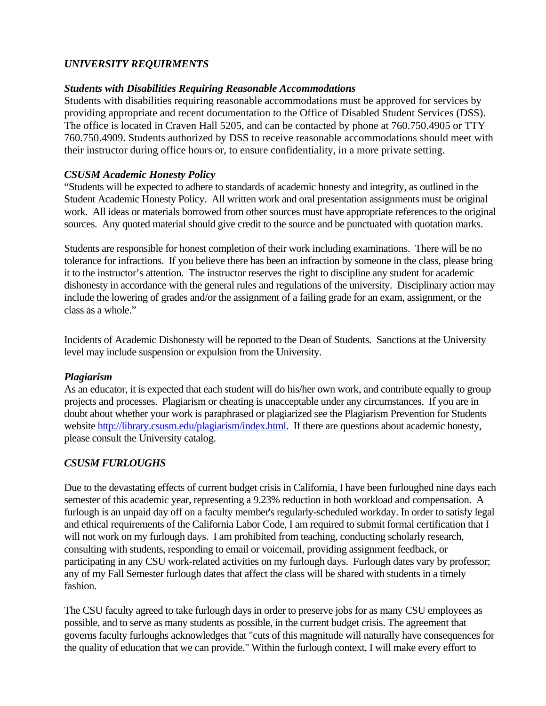## *UNIVERSITY REQUIRMENTS*

#### *Students with Disabilities Requiring Reasonable Accommodations*

Students with disabilities requiring reasonable accommodations must be approved for services by providing appropriate and recent documentation to the Office of Disabled Student Services (DSS). The office is located in Craven Hall 5205, and can be contacted by phone at 760.750.4905 or TTY 760.750.4909. Students authorized by DSS to receive reasonable accommodations should meet with their instructor during office hours or, to ensure confidentiality, in a more private setting.

#### *CSUSM Academic Honesty Policy*

"Students will be expected to adhere to standards of academic honesty and integrity, as outlined in the Student Academic Honesty Policy. All written work and oral presentation assignments must be original work. All ideas or materials borrowed from other sources must have appropriate references to the original sources. Any quoted material should give credit to the source and be punctuated with quotation marks.

Students are responsible for honest completion of their work including examinations. There will be no tolerance for infractions. If you believe there has been an infraction by someone in the class, please bring it to the instructor's attention. The instructor reserves the right to discipline any student for academic dishonesty in accordance with the general rules and regulations of the university. Disciplinary action may include the lowering of grades and/or the assignment of a failing grade for an exam, assignment, or the class as a whole."

Incidents of Academic Dishonesty will be reported to the Dean of Students. Sanctions at the University level may include suspension or expulsion from the University.

#### *Plagiarism*

As an educator, it is expected that each student will do his/her own work, and contribute equally to group projects and processes. Plagiarism or cheating is unacceptable under any circumstances. If you are in doubt about whether your work is paraphrased or plagiarized see the Plagiarism Prevention for Students website http://library.csusm.edu/plagiarism/index.html. If there are questions about academic honesty, please consult the University catalog.

## *CSUSM FURLOUGHS*

Due to the devastating effects of current budget crisis in California, I have been furloughed nine days each semester of this academic year, representing a 9.23% reduction in both workload and compensation. A furlough is an unpaid day off on a faculty member's regularly-scheduled workday. In order to satisfy legal and ethical requirements of the California Labor Code, I am required to submit formal certification that I will not work on my furlough days. I am prohibited from teaching, conducting scholarly research, consulting with students, responding to email or voicemail, providing assignment feedback, or participating in any CSU work-related activities on my furlough days. Furlough dates vary by professor; any of my Fall Semester furlough dates that affect the class will be shared with students in a timely fashion.

The CSU faculty agreed to take furlough days in order to preserve jobs for as many CSU employees as possible, and to serve as many students as possible, in the current budget crisis. The agreement that governs faculty furloughs acknowledges that "cuts of this magnitude will naturally have consequences for the quality of education that we can provide." Within the furlough context, I will make every effort to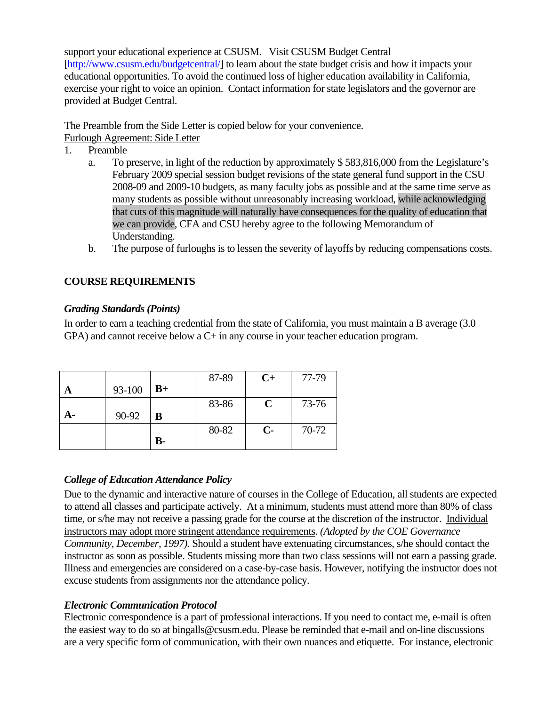support your educational experience at CSUSM. Visit CSUSM Budget Central [http://www.csusm.edu/budgetcentral/] to learn about the state budget crisis and how it impacts your educational opportunities. To avoid the continued loss of higher education availability in California, exercise your right to voice an opinion. Contact information for state legislators and the governor are provided at Budget Central.

The Preamble from the Side Letter is copied below for your convenience. Furlough Agreement: Side Letter

- 1. Preamble
	- a. To preserve, in light of the reduction by approximately \$ 583,816,000 from the Legislature's February 2009 special session budget revisions of the state general fund support in the CSU 2008-09 and 2009-10 budgets, as many faculty jobs as possible and at the same time serve as many students as possible without unreasonably increasing workload, while acknowledging that cuts of this magnitude will naturally have consequences for the quality of education that we can provide, CFA and CSU hereby agree to the following Memorandum of Understanding.
	- b. The purpose of furloughs is to lessen the severity of layoffs by reducing compensations costs.

## **COURSE REQUIREMENTS**

#### *Grading Standards (Points)*

In order to earn a teaching credential from the state of California, you must maintain a B average (3.0 GPA) and cannot receive below a C+ in any course in your teacher education program.

|    |        |       | 87-89 | $C+$ | 77-79 |
|----|--------|-------|-------|------|-------|
|    | 93-100 | $B+$  |       |      |       |
|    |        |       | 83-86 | C    | 73-76 |
| А- | 90-92  | B     |       |      |       |
|    |        |       | 80-82 | $C-$ | 70-72 |
|    |        | $B -$ |       |      |       |

## *College of Education Attendance Policy*

Due to the dynamic and interactive nature of courses in the College of Education, all students are expected to attend all classes and participate actively. At a minimum, students must attend more than 80% of class time, or s/he may not receive a passing grade for the course at the discretion of the instructor. Individual instructors may adopt more stringent attendance requirements. *(Adopted by the COE Governance Community, December, 1997).* Should a student have extenuating circumstances, s/he should contact the instructor as soon as possible. Students missing more than two class sessions will not earn a passing grade. Illness and emergencies are considered on a case-by-case basis. However, notifying the instructor does not excuse students from assignments nor the attendance policy.

## *Electronic Communication Protocol*

Electronic correspondence is a part of professional interactions. If you need to contact me, e-mail is often the easiest way to do so at bingalls@csusm.edu. Please be reminded that e-mail and on-line discussions are a very specific form of communication, with their own nuances and etiquette. For instance, electronic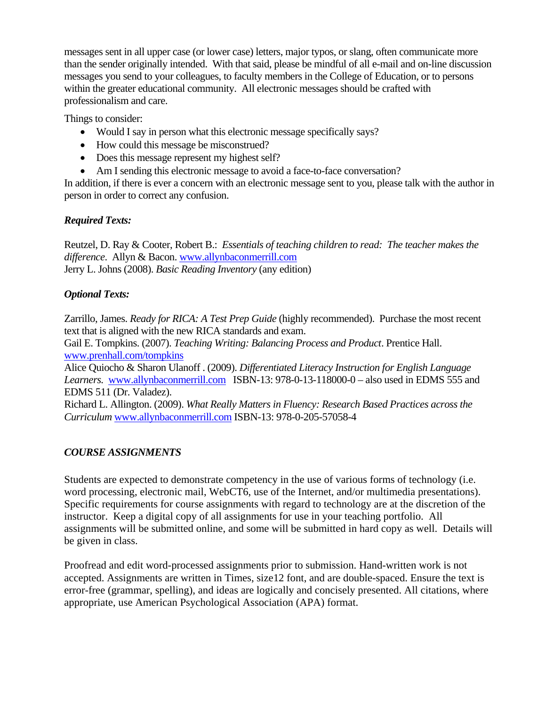messages sent in all upper case (or lower case) letters, major typos, or slang, often communicate more than the sender originally intended. With that said, please be mindful of all e-mail and on-line discussion messages you send to your colleagues, to faculty members in the College of Education, or to persons within the greater educational community. All electronic messages should be crafted with professionalism and care.

Things to consider:

- Would I say in person what this electronic message specifically says?
- How could this message be misconstrued?
- Does this message represent my highest self?
- Am I sending this electronic message to avoid a face-to-face conversation?

In addition, if there is ever a concern with an electronic message sent to you, please talk with the author in person in order to correct any confusion.

## *Required Texts:*

Reutzel, D. Ray & Cooter, Robert B.: *Essentials of teaching children to read: The teacher makes the difference*. Allyn & Bacon. www.allynbaconmerrill.com Jerry L. Johns (2008). *Basic Reading Inventory* (any edition)

## *Optional Texts:*

Zarrillo, James. *Ready for RICA: A Test Prep Guide* (highly recommended). Purchase the most recent text that is aligned with the new RICA standards and exam.

Gail E. Tompkins. (2007). *Teaching Writing: Balancing Process and Product*. Prentice Hall. www.prenhall.com/tompkins

Learners. **www.allynbaconmerrill.com** ISBN-13: 978-0-13-118000-0 – also used in EDMS 555 and Alice Quiocho & Sharon Ulanoff . (2009). *Differentiated Literacy Instruction for English Language*  EDMS 511 (Dr. Valadez).

Richard L. Allington. (2009). *What Really Matters in Fluency: Research Based Practices across the Curriculum* www.allynbaconmerrill.com ISBN-13: 978-0-205-57058-4

## *COURSE ASSIGNMENTS*

word processing, electronic mail, WebCT6, use of the Internet, and/or multimedia presentations). Students are expected to demonstrate competency in the use of various forms of technology (i.e. Specific requirements for course assignments with regard to technology are at the discretion of the instructor. Keep a digital copy of all assignments for use in your teaching portfolio. All assignments will be submitted online, and some will be submitted in hard copy as well. Details will be given in class.

Proofread and edit word-processed assignments prior to submission. Hand-written work is not accepted. Assignments are written in Times, size12 font, and are double-spaced. Ensure the text is error-free (grammar, spelling), and ideas are logically and concisely presented. All citations, where appropriate, use American Psychological Association (APA) format.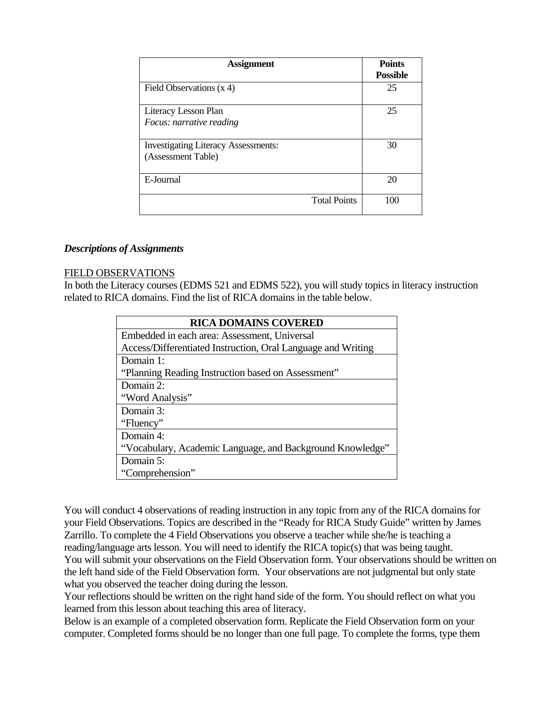| <b>Assignment</b>                                                | <b>Points</b><br><b>Possible</b> |
|------------------------------------------------------------------|----------------------------------|
| Field Observations $(x 4)$                                       | 25                               |
| Literacy Lesson Plan<br>Focus: narrative reading                 | 25                               |
| <b>Investigating Literacy Assessments:</b><br>(Assessment Table) | 30                               |
| E-Journal                                                        | 20                               |
| <b>Total Points</b>                                              | 100                              |

#### *Descriptions of Assignments*

#### FIELD OBSERVATIONS

In both the Literacy courses (EDMS 521 and EDMS 522), you will study topics in literacy instruction related to RICA domains. Find the list of RICA domains in the table below.

| <b>RICA DOMAINS COVERED</b>                                  |  |  |  |  |
|--------------------------------------------------------------|--|--|--|--|
| Embedded in each area: Assessment, Universal                 |  |  |  |  |
| Access/Differentiated Instruction, Oral Language and Writing |  |  |  |  |
| Domain 1:                                                    |  |  |  |  |
| "Planning Reading Instruction based on Assessment"           |  |  |  |  |
| Domain 2:                                                    |  |  |  |  |
| "Word Analysis"                                              |  |  |  |  |
| Domain 3:                                                    |  |  |  |  |
| "Fluency"                                                    |  |  |  |  |
| Domain 4:                                                    |  |  |  |  |
| "Vocabulary, Academic Language, and Background Knowledge"    |  |  |  |  |
| Domain 5:                                                    |  |  |  |  |
| "Comprehension"                                              |  |  |  |  |

You will conduct 4 observations of reading instruction in any topic from any of the RICA domains for your Field Observations. Topics are described in the "Ready for RICA Study Guide" written by James Zarrillo. To complete the 4 Field Observations you observe a teacher while she/he is teaching a reading/language arts lesson. You will need to identify the RICA topic(s) that was being taught. You will submit your observations on the Field Observation form. Your observations should be written on the left hand side of the Field Observation form. Your observations are not judgmental but only state what you observed the teacher doing during the lesson.

Your reflections should be written on the right hand side of the form. You should reflect on what you learned from this lesson about teaching this area of literacy.

Below is an example of a completed observation form. Replicate the Field Observation form on your computer. Completed forms should be no longer than one full page. To complete the forms, type them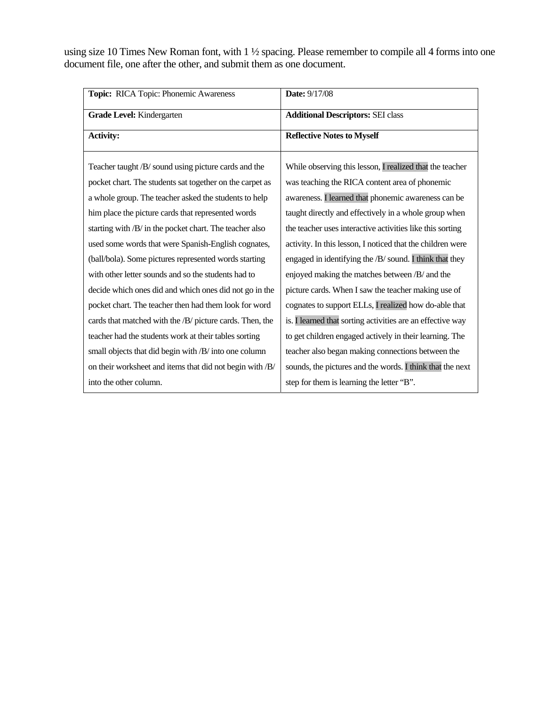using size 10 Times New Roman font, with 1 ½ spacing. Please remember to compile all 4 forms into one document file, one after the other, and submit them as one document.

| Topic: RICA Topic: Phonemic Awareness                    | <b>Date: 9/17/08</b>                                       |  |
|----------------------------------------------------------|------------------------------------------------------------|--|
| Grade Level: Kindergarten                                | <b>Additional Descriptors: SEI class</b>                   |  |
| <b>Activity:</b>                                         | <b>Reflective Notes to Myself</b>                          |  |
| Teacher taught /B/ sound using picture cards and the     | While observing this lesson, I realized that the teacher   |  |
| pocket chart. The students sat together on the carpet as | was teaching the RICA content area of phonemic             |  |
| a whole group. The teacher asked the students to help    | awareness. I learned that phonemic awareness can be        |  |
| him place the picture cards that represented words       | taught directly and effectively in a whole group when      |  |
| starting with /B/ in the pocket chart. The teacher also  | the teacher uses interactive activities like this sorting  |  |
| used some words that were Spanish-English cognates,      | activity. In this lesson, I noticed that the children were |  |
| (ball/bola). Some pictures represented words starting    | engaged in identifying the /B/ sound. I think that they    |  |
| with other letter sounds and so the students had to      | enjoyed making the matches between /B/ and the             |  |
| decide which ones did and which ones did not go in the   | picture cards. When I saw the teacher making use of        |  |
| pocket chart. The teacher then had them look for word    | cognates to support ELLs, I realized how do-able that      |  |
| cards that matched with the /B/ picture cards. Then, the | is. I learned that sorting activities are an effective way |  |
| teacher had the students work at their tables sorting    | to get children engaged actively in their learning. The    |  |
| small objects that did begin with /B/ into one column    | teacher also began making connections between the          |  |
| on their worksheet and items that did not begin with /B/ | sounds, the pictures and the words. I think that the next  |  |
| into the other column.                                   | step for them is learning the letter "B".                  |  |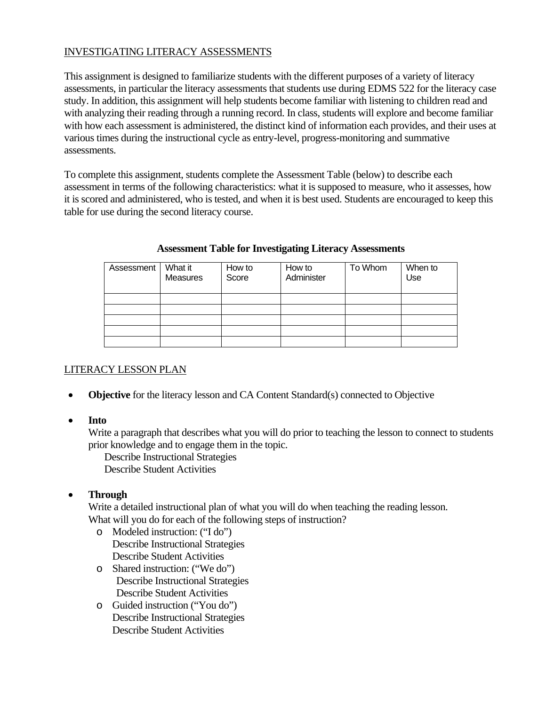## INVESTIGATING LITERACY ASSESSMENTS

assessments. This assignment is designed to familiarize students with the different purposes of a variety of literacy assessments, in particular the literacy assessments that students use during EDMS 522 for the literacy case study. In addition, this assignment will help students become familiar with listening to children read and with analyzing their reading through a running record. In class, students will explore and become familiar with how each assessment is administered, the distinct kind of information each provides, and their uses at various times during the instructional cycle as entry-level, progress-monitoring and summative

To complete this assignment, students complete the Assessment Table (below) to describe each assessment in terms of the following characteristics: what it is supposed to measure, who it assesses, how it is scored and administered, who is tested, and when it is best used. Students are encouraged to keep this table for use during the second literacy course.

| Assessment | What it<br><b>Measures</b> | How to<br>Score | How to<br>Administer | To Whom | When to<br>Use |
|------------|----------------------------|-----------------|----------------------|---------|----------------|
|            |                            |                 |                      |         |                |
|            |                            |                 |                      |         |                |
|            |                            |                 |                      |         |                |
|            |                            |                 |                      |         |                |
|            |                            |                 |                      |         |                |

#### **Assessment Table for Investigating Literacy Assessments**

## LITERACY LESSON PLAN

- **Objective** for the literacy lesson and CA Content Standard(s) connected to Objective
- • **Into**

Write a paragraph that describes what you will do prior to teaching the lesson to connect to students prior knowledge and to engage them in the topic.

Describe Instructional Strategies Describe Student Activities

• **Through** 

Write a detailed instructional plan of what you will do when teaching the reading lesson. What will you do for each of the following steps of instruction?

- o Modeled instruction: ("I do") Describe Instructional Strategies Describe Student Activities
- o Shared instruction: ("We do") Describe Instructional Strategies Describe Student Activities
- o Guided instruction ("You do") Describe Instructional Strategies Describe Student Activities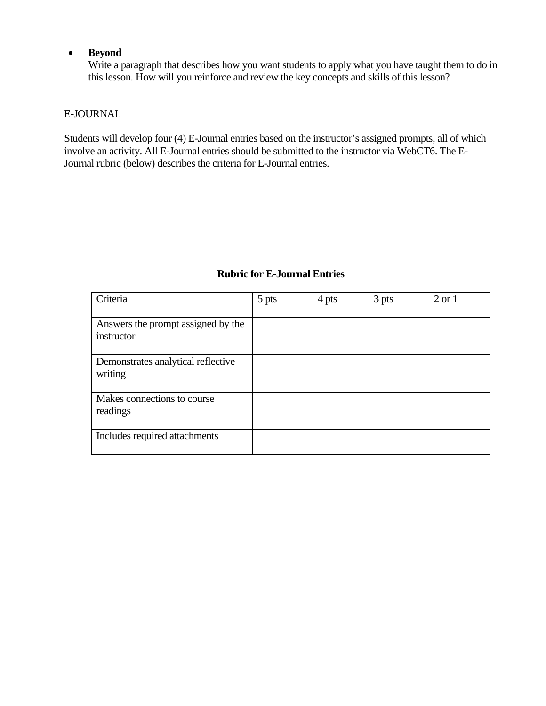#### • **Beyond**

Write a paragraph that describes how you want students to apply what you have taught them to do in this lesson. How will you reinforce and review the key concepts and skills of this lesson?

## E-JOURNAL

Students will develop four (4) E-Journal entries based on the instructor's assigned prompts, all of which involve an activity. All E-Journal entries should be submitted to the instructor via WebCT6. The E-Journal rubric (below) describes the criteria for E-Journal entries.

| Criteria                                         | 5 pts | 4 pts | 3 pts | $2 \text{ or } 1$ |
|--------------------------------------------------|-------|-------|-------|-------------------|
| Answers the prompt assigned by the<br>instructor |       |       |       |                   |
| Demonstrates analytical reflective<br>writing    |       |       |       |                   |
| Makes connections to course<br>readings          |       |       |       |                   |
| Includes required attachments                    |       |       |       |                   |

## **Rubric for E-Journal Entries**